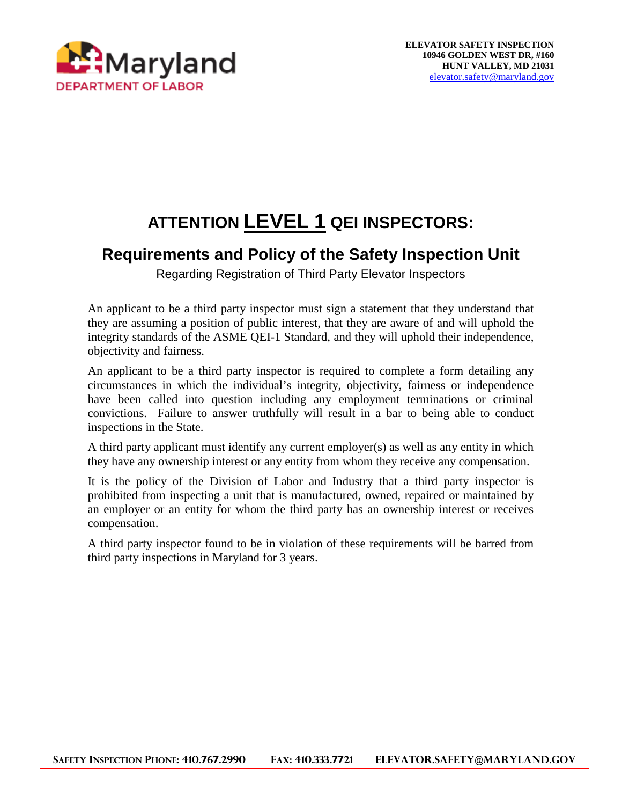

# **ATTENTION LEVEL 1 QEI INSPECTORS:**

#### **Requirements and Policy of the Safety Inspection Unit**

Regarding Registration of Third Party Elevator Inspectors

An applicant to be a third party inspector must sign a statement that they understand that they are assuming a position of public interest, that they are aware of and will uphold the integrity standards of the ASME QEI-1 Standard, and they will uphold their independence, objectivity and fairness.

An applicant to be a third party inspector is required to complete a form detailing any circumstances in which the individual's integrity, objectivity, fairness or independence have been called into question including any employment terminations or criminal convictions. Failure to answer truthfully will result in a bar to being able to conduct inspections in the State.

A third party applicant must identify any current employer(s) as well as any entity in which they have any ownership interest or any entity from whom they receive any compensation.

It is the policy of the Division of Labor and Industry that a third party inspector is prohibited from inspecting a unit that is manufactured, owned, repaired or maintained by an employer or an entity for whom the third party has an ownership interest or receives compensation.

A third party inspector found to be in violation of these requirements will be barred from third party inspections in Maryland for 3 years.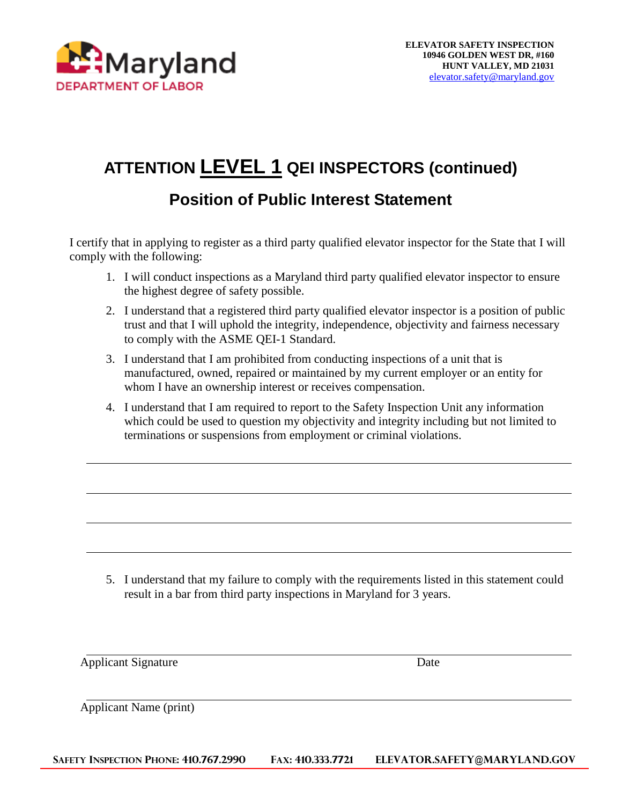

# **ATTENTION LEVEL 1 QEI INSPECTORS (continued)**

### **Position of Public Interest Statement**

I certify that in applying to register as a third party qualified elevator inspector for the State that I will comply with the following:

- 1. I will conduct inspections as a Maryland third party qualified elevator inspector to ensure the highest degree of safety possible.
- 2. I understand that a registered third party qualified elevator inspector is a position of public trust and that I will uphold the integrity, independence, objectivity and fairness necessary to comply with the ASME QEI-1 Standard.
- 3. I understand that I am prohibited from conducting inspections of a unit that is manufactured, owned, repaired or maintained by my current employer or an entity for whom I have an ownership interest or receives compensation.
- 4. I understand that I am required to report to the Safety Inspection Unit any information which could be used to question my objectivity and integrity including but not limited to terminations or suspensions from employment or criminal violations.

5. I understand that my failure to comply with the requirements listed in this statement could result in a bar from third party inspections in Maryland for 3 years.

Applicant Signature Date

Applicant Name (print)